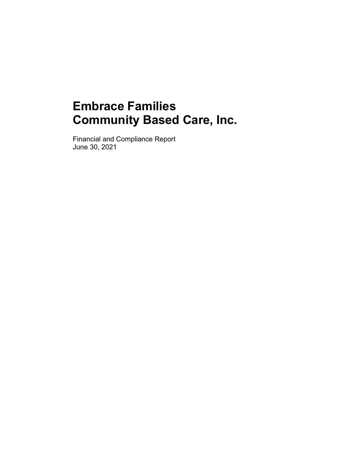Financial and Compliance Report June 30, 2021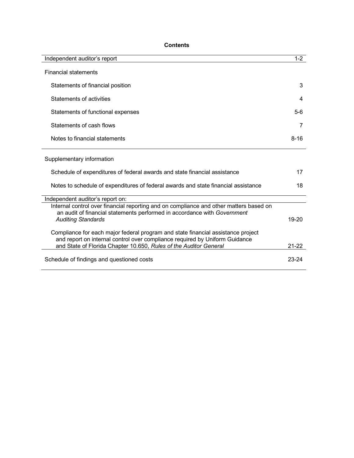# **Contents**

| Independent auditor's report                                                                                                                                                                                                         | $1 - 2$   |
|--------------------------------------------------------------------------------------------------------------------------------------------------------------------------------------------------------------------------------------|-----------|
| <b>Financial statements</b>                                                                                                                                                                                                          |           |
| Statements of financial position                                                                                                                                                                                                     | 3         |
| Statements of activities                                                                                                                                                                                                             | 4         |
| Statements of functional expenses                                                                                                                                                                                                    | $5-6$     |
| Statements of cash flows                                                                                                                                                                                                             | 7         |
| Notes to financial statements                                                                                                                                                                                                        | $8 - 16$  |
| Supplementary information                                                                                                                                                                                                            |           |
| Schedule of expenditures of federal awards and state financial assistance                                                                                                                                                            | 17        |
| Notes to schedule of expenditures of federal awards and state financial assistance                                                                                                                                                   | 18        |
| Independent auditor's report on:                                                                                                                                                                                                     |           |
| Internal control over financial reporting and on compliance and other matters based on<br>an audit of financial statements performed in accordance with Government<br><b>Auditing Standards</b>                                      | 19-20     |
| Compliance for each major federal program and state financial assistance project<br>and report on internal control over compliance required by Uniform Guidance<br>and State of Florida Chapter 10.650, Rules of the Auditor General | $21 - 22$ |
| Schedule of findings and questioned costs                                                                                                                                                                                            | 23-24     |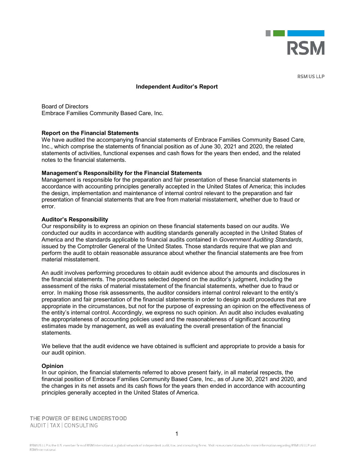

**RSM US LLP** 

#### **Independent Auditor's Report**

Board of Directors Embrace Families Community Based Care, Inc.

#### **Report on the Financial Statements**

We have audited the accompanying financial statements of Embrace Families Community Based Care, Inc., which comprise the statements of financial position as of June 30, 2021 and 2020, the related statements of activities, functional expenses and cash flows for the years then ended, and the related notes to the financial statements.

#### **Management's Responsibility for the Financial Statements**

Management is responsible for the preparation and fair presentation of these financial statements in accordance with accounting principles generally accepted in the United States of America; this includes the design, implementation and maintenance of internal control relevant to the preparation and fair presentation of financial statements that are free from material misstatement, whether due to fraud or error.

#### **Auditor's Responsibility**

Our responsibility is to express an opinion on these financial statements based on our audits. We conducted our audits in accordance with auditing standards generally accepted in the United States of America and the standards applicable to financial audits contained in *Government Auditing Standards*, issued by the Comptroller General of the United States. Those standards require that we plan and perform the audit to obtain reasonable assurance about whether the financial statements are free from material misstatement.

An audit involves performing procedures to obtain audit evidence about the amounts and disclosures in the financial statements. The procedures selected depend on the auditor's judgment, including the assessment of the risks of material misstatement of the financial statements, whether due to fraud or error. In making those risk assessments, the auditor considers internal control relevant to the entity's preparation and fair presentation of the financial statements in order to design audit procedures that are appropriate in the circumstances, but not for the purpose of expressing an opinion on the effectiveness of the entity's internal control. Accordingly, we express no such opinion. An audit also includes evaluating the appropriateness of accounting policies used and the reasonableness of significant accounting estimates made by management, as well as evaluating the overall presentation of the financial statements.

We believe that the audit evidence we have obtained is sufficient and appropriate to provide a basis for our audit opinion.

#### **Opinion**

In our opinion, the financial statements referred to above present fairly, in all material respects, the financial position of Embrace Families Community Based Care, Inc., as of June 30, 2021 and 2020, and the changes in its net assets and its cash flows for the years then ended in accordance with accounting principles generally accepted in the United States of America.

THE POWER OF BEING UNDERSTOOD AUDIT | TAX | CONSULTING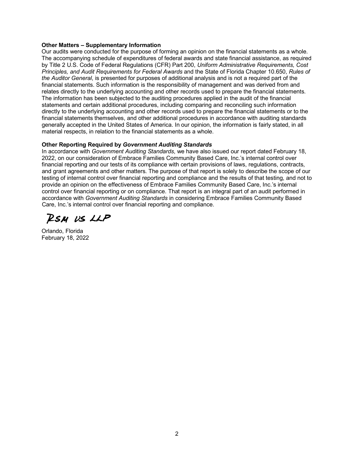#### **Other Matters – Supplementary Information**

Our audits were conducted for the purpose of forming an opinion on the financial statements as a whole. The accompanying schedule of expenditures of federal awards and state financial assistance, as required by Title 2 U.S. Code of Federal Regulations (CFR) Part 200, *Uniform Administrative Requirements, Cost Principles, and Audit Requirements for Federal Awards* and the State of Florida Chapter 10.650, *Rules of the Auditor General*, is presented for purposes of additional analysis and is not a required part of the financial statements. Such information is the responsibility of management and was derived from and relates directly to the underlying accounting and other records used to prepare the financial statements. The information has been subjected to the auditing procedures applied in the audit of the financial statements and certain additional procedures, including comparing and reconciling such information directly to the underlying accounting and other records used to prepare the financial statements or to the financial statements themselves, and other additional procedures in accordance with auditing standards generally accepted in the United States of America. In our opinion, the information is fairly stated, in all material respects, in relation to the financial statements as a whole.

#### **Other Reporting Required by** *Government Auditing Standards*

In accordance with *Government Auditing Standards*, we have also issued our report dated February 18, 2022, on our consideration of Embrace Families Community Based Care, Inc.'s internal control over financial reporting and our tests of its compliance with certain provisions of laws, regulations, contracts, and grant agreements and other matters. The purpose of that report is solely to describe the scope of our testing of internal control over financial reporting and compliance and the results of that testing, and not to provide an opinion on the effectiveness of Embrace Families Community Based Care, Inc.'s internal control over financial reporting or on compliance. That report is an integral part of an audit performed in accordance with *Government Auditing Standards* in considering Embrace Families Community Based Care, Inc.'s internal control over financial reporting and compliance.

RSM US LLP

Orlando, Florida February 18, 2022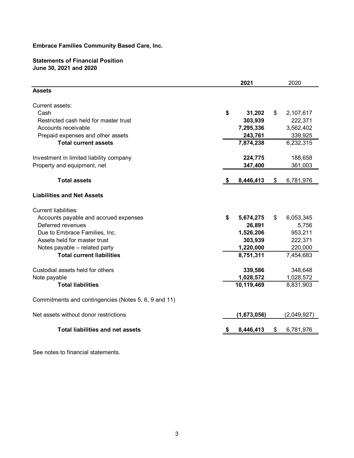## **Statements of Financial Position June 30, 2021 and 2020**

|                                                      | 2021            |    | 2020        |
|------------------------------------------------------|-----------------|----|-------------|
| <b>Assets</b>                                        |                 |    |             |
| Current assets:                                      |                 |    |             |
| Cash                                                 | \$<br>31,202    | \$ | 2,107,617   |
| Restricted cash held for master trust                | 303,939         |    | 222,371     |
| Accounts receivable                                  | 7,295,336       |    | 3,562,402   |
| Prepaid expenses and other assets                    | 243,761         |    | 339,925     |
| <b>Total current assets</b>                          | 7,874,238       |    | 6,232,315   |
| Investment in limited liability company              | 224,775         |    | 188,658     |
| Property and equipment, net                          | 347,400         |    | 361,003     |
| <b>Total assets</b>                                  | 8,446,413       | \$ | 6,781,976   |
| <b>Liabilities and Net Assets</b>                    |                 |    |             |
| <b>Current liabilities:</b>                          |                 |    |             |
| Accounts payable and accrued expenses                | \$<br>5,674,275 | \$ | 6,053,345   |
| Deferred revenues                                    | 26,891          |    | 5,756       |
| Due to Embrace Families, Inc.                        | 1,526,206       |    | 953,211     |
| Assets held for master trust                         | 303,939         |    | 222,371     |
| Notes payable - related party                        | 1,220,000       |    | 220,000     |
| <b>Total current liabilities</b>                     | 8,751,311       |    | 7,454,683   |
| Custodial assets held for others                     | 339,586         |    | 348,648     |
| Note payable                                         | 1,028,572       |    | 1,028,572   |
| <b>Total liabilities</b>                             | 10,119,469      |    | 8,831,903   |
| Commitments and contingencies (Notes 5, 6, 9 and 11) |                 |    |             |
| Net assets without donor restrictions                | (1,673,056)     |    | (2,049,927) |
| <b>Total liabilities and net assets</b>              | 8,446,413       | S  | 6,781,976   |
|                                                      |                 |    |             |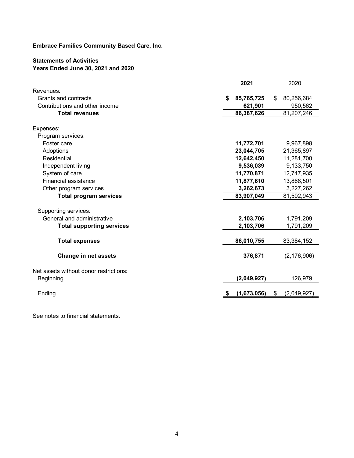# **Statements of Activities Years Ended June 30, 2021 and 2020**

|                                        | 2021             | 2020              |
|----------------------------------------|------------------|-------------------|
| Revenues:                              |                  |                   |
| Grants and contracts                   | 85,765,725<br>\$ | 80,256,684<br>\$. |
| Contributions and other income         | 621,901          | 950,562           |
| <b>Total revenues</b>                  | 86,387,626       | 81,207,246        |
| Expenses:                              |                  |                   |
| Program services:                      |                  |                   |
| Foster care                            | 11,772,701       | 9,967,898         |
| Adoptions                              | 23,044,705       | 21,365,897        |
| Residential                            | 12,642,450       | 11,281,700        |
| Independent living                     | 9,536,039        | 9,133,750         |
| System of care                         | 11,770,871       | 12,747,935        |
| Financial assistance                   | 11,877,610       | 13,868,501        |
| Other program services                 | 3,262,673        | 3,227,262         |
| <b>Total program services</b>          | 83,907,049       | 81,592,943        |
| Supporting services:                   |                  |                   |
| General and administrative             | 2,103,706        | 1,791,209         |
| <b>Total supporting services</b>       | 2,103,706        | 1,791,209         |
|                                        |                  |                   |
| <b>Total expenses</b>                  | 86,010,755       | 83,384,152        |
| <b>Change in net assets</b>            | 376,871          | (2, 176, 906)     |
| Net assets without donor restrictions: |                  |                   |
| Beginning                              | (2,049,927)      | 126,979           |
| Ending                                 | (1,673,056)      | (2,049,927)<br>S  |
|                                        |                  |                   |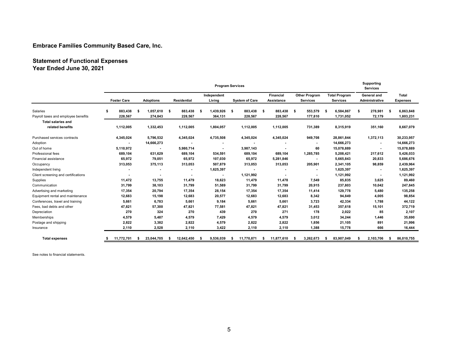# **Statement of Functional Expenses Year Ended June 30, 2021**

|                                     |                    |                  |                  |                   | <b>Program Services</b> |                  |                      |                      | Supporting<br><b>Services</b> |                  |
|-------------------------------------|--------------------|------------------|------------------|-------------------|-------------------------|------------------|----------------------|----------------------|-------------------------------|------------------|
|                                     |                    |                  |                  | Independent       |                         | Financial        | <b>Other Program</b> | <b>Total Program</b> | General and                   | Total            |
|                                     | <b>Foster Care</b> | <b>Adoptions</b> | Residential      | Living            | <b>System of Care</b>   | Assistance       | Services             | Services             | Administrative                | <b>Expenses</b>  |
| Salaries                            | 883,438<br>S       | 1,057,610<br>Ŝ.  | 883,438<br>- \$  | 1,439,926<br>- \$ | 883,438<br>- \$         | 883,438<br>- \$  | 553,579<br>- \$      | 6,584,867<br>- \$    | 278,981<br>Ŝ.                 | 6,863,848<br>-\$ |
| Payroll taxes and employee benefits | 228,567            | 274,843          | 228,567          | 364,131           | 228,567                 | 228,567          | 177,810              | 1,731,052            | 72,179                        | 1,803,231        |
| <b>Total salaries and</b>           |                    |                  |                  |                   |                         |                  |                      |                      |                               |                  |
| related benefits                    | 1,112,005          | 1,332,453        | 1,112,005        | 1,804,057         | 1,112,005               | 1,112,005        | 731,389              | 8,315,919            | 351,160                       | 8,667,079        |
| Purchased services contracts        | 4,345,024          | 5,796,532        | 4,345,024        | 4,735,508         | 4,345,024               | 4,345,024        | 949,708              | 28,861,844           | 1,372,113                     | 30,233,957       |
| Adoption                            |                    | 14,666,273       |                  |                   |                         |                  |                      | 14,666,273           | $\blacksquare$                | 14,666,273       |
| Out of home                         | 5,110,972          |                  | 5,980,714        |                   | 3,987,143               |                  | 60                   | 15,078,889           | $\sim$                        | 15,078,889       |
| Professional fees                   | 689,104            | 631,629          | 689,104          | 534,591           | 689,104                 | 689,104          | 1,285,785            | 5,208,421            | 217,612                       | 5,426,033        |
| Financial assistance                | 65,972             | 79,051           | 65,972           | 107,030           | 65,972                  | 5,281,846        |                      | 5,665,843            | 20,833                        | 5,686,676        |
| Occupancy                           | 313,053            | 375,113          | 313,053          | 507,879           | 313,053                 | 313,053          | 205,901              | 2,341,105            | 98,859                        | 2,439,964        |
| Independent living                  |                    |                  |                  | 1,625,397         |                         |                  |                      | 1,625,397            |                               | 1,625,397        |
| Client screening and certifications |                    |                  |                  |                   | 1,121,992               |                  |                      | 1,121,992            | $\overline{\phantom{a}}$      | 1,121,992        |
| Supplies                            | 11,472             | 13,755           | 11,479           | 18,623            | 11,479                  | 11,478           | 7,549                | 85,835               | 3,625                         | 89,460           |
| Communication                       | 31,799             | 38,103           | 31,799           | 51,589            | 31,799                  | 31,799           | 20,915               | 237,803              | 10,042                        | 247,845          |
| Advertising and marketing           | 17,354             | 20,794           | 17,354           | 28,154            | 17,354                  | 17,354           | 11,414               | 129,778              | 5,480                         | 135,258          |
| Equipment rental and maintenance    | 12,683             | 15,198           | 12,683           | 20,577            | 12,683                  | 12,683           | 8,342                | 94,849               | 4,005                         | 98,854           |
| Conferences, travel and training    | 5,661              | 6,783            | 5,661            | 9,184             | 5,661                   | 5,661            | 3,723                | 42,334               | 1,788                         | 44,122           |
| Fees, bad debts and other           | 47,821             | 57,300           | 47,821           | 77,581            | 47,821                  | 47,821           | 31,453               | 357,618              | 15,101                        | 372,719          |
| Depreciation                        | 270                | 324              | 270              | 439               | 270                     | 271              | 178                  | 2,022                | 85                            | 2,107            |
| Memberships                         | 4,579              | 5,487            | 4,579            | 7,429             | 4,579                   | 4,579            | 3,012                | 34,244               | 1,446                         | 35,690           |
| Postage and shipping                | 2,822              | 3,382            | 2,822            | 4,579             | 2,822                   | 2,822            | 1,856                | 21,105               | 891                           | 21,996           |
| Insurance                           | 2,110              | 2,528            | 2,110            | 3,422             | 2,110                   | 2,110            | 1,388                | 15,778               | 666                           | 16,444           |
| <b>Total expenses</b>               | 11,772,701         | 23,044,705       | 12,642,450<br>s. | 9,536,039<br>- 5  | 11,770,871<br>-S        | 11,877,610<br>s. | 3,262,673<br>-S      | 83,907,049           | 2,103,706<br>-S               | 86,010,755<br>s. |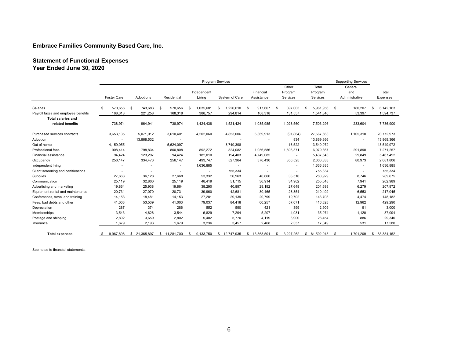#### **Statement of Functional Expenses Year Ended June 30, 2020**

|                                     |    |                    |               |      |                          |     | Program Services |                  |    |                          |                          |   |               |      | <b>Supporting Services</b> |                  |
|-------------------------------------|----|--------------------|---------------|------|--------------------------|-----|------------------|------------------|----|--------------------------|--------------------------|---|---------------|------|----------------------------|------------------|
|                                     |    |                    |               |      |                          |     |                  |                  |    |                          | Other                    |   | Total         |      | General                    |                  |
|                                     |    |                    |               |      |                          |     | Independent      |                  |    | Financial                | Program                  |   | Program       |      | and                        | Total            |
|                                     |    | <b>Foster Care</b> | Adoptions     |      | Residential              |     | Living           | System of Care   |    | Assistance               | Services                 |   | Services      |      | Administrative             | Expenses         |
| Salaries                            | -S | 570.656            | \$<br>743,683 | - \$ | 570.656                  | \$. | 1,035,681        | \$<br>1,226,610  | S  | 917.667                  | \$<br>897,003            | S | 5.961.956     | - \$ | 180,207                    | 6,142,163        |
| Payroll taxes and employee benefits |    | 168,318            | 221,258       |      | 168,318                  |     | 388,757          | 294,814          |    | 168,318                  | 131,557                  |   | 1,541,340     |      | 53,397                     | 1,594,737        |
| <b>Total salaries and</b>           |    |                    |               |      |                          |     |                  |                  |    |                          |                          |   |               |      |                            |                  |
| related benefits                    |    | 738,974            | 964,941       |      | 738,974                  |     | 1,424,438        | 1,521,424        |    | 1,085,985                | 1,028,560                |   | 7,503,296     |      | 233,604                    | 7,736,900        |
| Purchased services contracts        |    | 3,653,135          | 5,071,012     |      | 3,610,401                |     | 4,202,060        | 4,853,006        |    | 6,369,913                | (91, 864)                |   | 27,667,663    |      | 1,105,310                  | 28,772,973       |
| Adoption                            |    |                    | 13,868,532    |      |                          |     |                  |                  |    |                          | 834                      |   | 13,869,366    |      | ٠                          | 13,869,366       |
| Out of home                         |    | 4,159,955          |               |      | 5,624,097                |     |                  | 3,749,398        |    | ٠                        | 16,522                   |   | 13,549,972    |      |                            | 13,549,972       |
| Professional fees                   |    | 908,414            | 798,834       |      | 800,808                  |     | 892,272          | 824,082          |    | 1,056,586                | 1,698,371                |   | 6,979,367     |      | 291,890                    | 7,271,257        |
| Financial assistance                |    | 94,424             | 123,297       |      | 94,424                   |     | 182,010          | 194,403          |    | 4,749,085                | $\sim$                   |   | 5,437,643     |      | 29,849                     | 5,467,492        |
| Occupancy                           |    | 256,147            | 334,473       |      | 256,147                  |     | 493,747          | 527,364          |    | 376,430                  | 356,525                  |   | 2,600,833     |      | 80,973                     | 2,681,806        |
| Independent living                  |    |                    | ٠             |      | $\overline{\phantom{a}}$ |     | 1,636,885        | ٠                |    | ٠                        | $\overline{\phantom{a}}$ |   | 1,636,885     |      | ٠                          | 1,636,885        |
| Client screening and certifications |    |                    |               |      |                          |     |                  | 755,334          |    | $\overline{\phantom{a}}$ | $\sim$                   |   | 755,334       |      | ٠                          | 755,334          |
| Supplies                            |    | 27,668             | 36,128        |      | 27,668                   |     | 53,332           | 56,963           |    | 40,660                   | 38,510                   |   | 280,929       |      | 8,746                      | 289,675          |
| Communication                       |    | 25,119             | 32,800        |      | 25,119                   |     | 48,419           | 51,715           |    | 36,914                   | 34,962                   |   | 255,048       |      | 7,941                      | 262,989          |
| Advertising and marketing           |    | 19,864             | 25,938        |      | 19,864                   |     | 38,290           | 40,897           |    | 29,192                   | 27,648                   |   | 201,693       |      | 6,279                      | 207,972          |
| Equipment rental and maintenance    |    | 20,731             | 27,070        |      | 20,731                   |     | 39,960           | 42,681           |    | 30,465                   | 28,854                   |   | 210,492       |      | 6,553                      | 217,045          |
| Conferences, travel and training    |    | 14,153             | 18,481        |      | 14,153                   |     | 27,281           | 29,139           |    | 20,799                   | 19,702                   |   | 143,708       |      | 4,474                      | 148,182          |
| Fees, bad debts and other           |    | 41,003             | 53,539        |      | 41,003                   |     | 79,037           | 84,418           |    | 60,257                   | 57,071                   |   | 416,328       |      | 12,962                     | 429,290          |
| Depreciation                        |    | 287                | 374           |      | 286                      |     | 552              | 590              |    | 421                      | 399                      |   | 2,909         |      | 91                         | 3,000            |
| Memberships                         |    | 3,543              | 4,626         |      | 3,544                    |     | 6,829            | 7,294            |    | 5,207                    | 4,931                    |   | 35,974        |      | 1,120                      | 37,094           |
| Postage and shipping                |    | 2,802              | 3,659         |      | 2,802                    |     | 5,402            | 5,770            |    | 4,119                    | 3,900                    |   | 28,454        |      | 886                        | 29,340           |
| Insurance                           |    | 1.679              | 2,193         |      | 1.679                    |     | 3,236            | 3,457            |    | 2,468                    | 2,337                    |   | 17,049        |      | 531                        | 17,580           |
| <b>Total expenses</b>               |    | 9.967.898          | \$ 21,365,897 |      | \$11,281,700             |     | 9,133,750        | \$<br>12,747,935 | s. | 13,868,501               | \$<br>3.227.262          |   | \$ 81,592,943 | S.   | 1,791,209                  | \$<br>83,384,152 |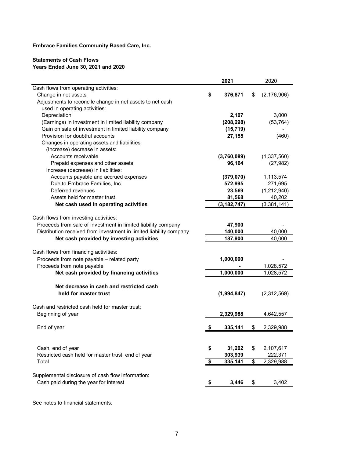#### **Statements of Cash Flows Years Ended June 30, 2021 and 2020**

|                                                                    | 2021          | 2020                |
|--------------------------------------------------------------------|---------------|---------------------|
| Cash flows from operating activities:                              |               |                     |
| Change in net assets                                               | \$<br>376,871 | \$<br>(2, 176, 906) |
| Adjustments to reconcile change in net assets to net cash          |               |                     |
| used in operating activities:                                      |               |                     |
| Depreciation                                                       | 2,107         | 3,000               |
| (Earnings) in investment in limited liability company              | (208, 298)    | (53, 764)           |
| Gain on sale of investment in limited liability company            | (15, 719)     |                     |
| Provision for doubtful accounts                                    | 27,155        | (460)               |
| Changes in operating assets and liabilities:                       |               |                     |
| (Increase) decrease in assets:                                     |               |                     |
| Accounts receivable                                                | (3,760,089)   | (1,337,560)         |
| Prepaid expenses and other assets                                  | 96,164        | (27, 982)           |
| Increase (decrease) in liabilities:                                |               |                     |
| Accounts payable and accrued expenses                              | (379, 070)    | 1,113,574           |
| Due to Embrace Families, Inc.                                      | 572,995       | 271,695             |
| Deferred revenues                                                  | 23,569        | (1,212,940)         |
| Assets held for master trust                                       | 81,568        | 40,202              |
| Net cash used in operating activities                              | (3, 182, 747) | (3,381,141)         |
|                                                                    |               |                     |
| Cash flows from investing activities:                              |               |                     |
| Proceeds from sale of investment in limited liability company      | 47,900        |                     |
| Distribution received from investment in limited liability company | 140,000       | 40,000              |
| Net cash provided by investing activities                          | 187,900       | 40,000              |
|                                                                    |               |                     |
| Cash flows from financing activities:                              |               |                     |
| Proceeds from note payable - related party                         | 1,000,000     |                     |
| Proceeds from note payable                                         |               | 1,028,572           |
| Net cash provided by financing activities                          | 1,000,000     | 1,028,572           |
| Net decrease in cash and restricted cash                           |               |                     |
| held for master trust                                              | (1,994,847)   | (2,312,569)         |
|                                                                    |               |                     |
| Cash and restricted cash held for master trust:                    |               |                     |
| Beginning of year                                                  | 2,329,988     | 4,642,557           |
|                                                                    |               |                     |
| End of year                                                        | 335,141       | \$<br>2,329,988     |
|                                                                    |               |                     |
|                                                                    |               |                     |
| Cash, end of year                                                  | \$<br>31,202  | \$<br>2,107,617     |
| Restricted cash held for master trust, end of year                 | 303,939       | 222,371             |
| Total                                                              | \$<br>335,141 | \$<br>2,329,988     |
|                                                                    |               |                     |
| Supplemental disclosure of cash flow information:                  |               |                     |
| Cash paid during the year for interest                             | 3,446         | \$<br>3,402         |
|                                                                    |               |                     |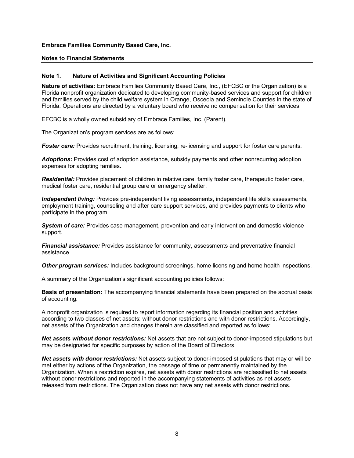#### **Notes to Financial Statements**

#### **Note 1. Nature of Activities and Significant Accounting Policies**

**Nature of activities:** Embrace Families Community Based Care, Inc., (EFCBC or the Organization) is a Florida nonprofit organization dedicated to developing community-based services and support for children and families served by the child welfare system in Orange, Osceola and Seminole Counties in the state of Florida. Operations are directed by a voluntary board who receive no compensation for their services.

EFCBC is a wholly owned subsidiary of Embrace Families, Inc. (Parent).

The Organization's program services are as follows:

*Foster care:* Provides recruitment, training, licensing, re-licensing and support for foster care parents.

*Adoptions:* Provides cost of adoption assistance, subsidy payments and other nonrecurring adoption expenses for adopting families.

*Residential:* Provides placement of children in relative care, family foster care, therapeutic foster care, medical foster care, residential group care or emergency shelter.

*Independent living:* Provides pre-independent living assessments, independent life skills assessments, employment training, counseling and after care support services, and provides payments to clients who participate in the program.

*System of care:* Provides case management, prevention and early intervention and domestic violence support.

*Financial assistance:* Provides assistance for community, assessments and preventative financial assistance.

*Other program services:* Includes background screenings, home licensing and home health inspections.

A summary of the Organization's significant accounting policies follows:

**Basis of presentation:** The accompanying financial statements have been prepared on the accrual basis of accounting.

A nonprofit organization is required to report information regarding its financial position and activities according to two classes of net assets: without donor restrictions and with donor restrictions. Accordingly, net assets of the Organization and changes therein are classified and reported as follows:

*Net assets without donor restrictions:* Net assets that are not subject to donor-imposed stipulations but may be designated for specific purposes by action of the Board of Directors.

*Net assets with donor restrictions:* Net assets subject to donor-imposed stipulations that may or will be met either by actions of the Organization, the passage of time or permanently maintained by the Organization. When a restriction expires, net assets with donor restrictions are reclassified to net assets without donor restrictions and reported in the accompanying statements of activities as net assets released from restrictions. The Organization does not have any net assets with donor restrictions.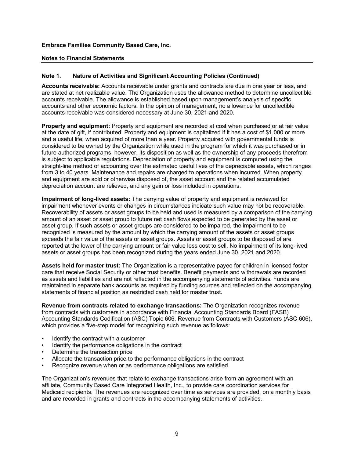#### **Notes to Financial Statements**

#### **Note 1. Nature of Activities and Significant Accounting Policies (Continued)**

**Accounts receivable:** Accounts receivable under grants and contracts are due in one year or less, and are stated at net realizable value. The Organization uses the allowance method to determine uncollectible accounts receivable. The allowance is established based upon management's analysis of specific accounts and other economic factors. In the opinion of management, no allowance for uncollectible accounts receivable was considered necessary at June 30, 2021 and 2020.

**Property and equipment:** Property and equipment are recorded at cost when purchased or at fair value at the date of gift, if contributed. Property and equipment is capitalized if it has a cost of \$1,000 or more and a useful life, when acquired of more than a year. Property acquired with governmental funds is considered to be owned by the Organization while used in the program for which it was purchased or in future authorized programs; however, its disposition as well as the ownership of any proceeds therefrom is subject to applicable regulations. Depreciation of property and equipment is computed using the straight-line method of accounting over the estimated useful lives of the depreciable assets, which ranges from 3 to 40 years. Maintenance and repairs are charged to operations when incurred. When property and equipment are sold or otherwise disposed of, the asset account and the related accumulated depreciation account are relieved, and any gain or loss included in operations.

**Impairment of long-lived assets:** The carrying value of property and equipment is reviewed for impairment whenever events or changes in circumstances indicate such value may not be recoverable. Recoverability of assets or asset groups to be held and used is measured by a comparison of the carrying amount of an asset or asset group to future net cash flows expected to be generated by the asset or asset group. If such assets or asset groups are considered to be impaired, the impairment to be recognized is measured by the amount by which the carrying amount of the assets or asset groups exceeds the fair value of the assets or asset groups. Assets or asset groups to be disposed of are reported at the lower of the carrying amount or fair value less cost to sell. No impairment of its long-lived assets or asset groups has been recognized during the years ended June 30, 2021 and 2020.

**Assets held for master trust:** The Organization is a representative payee for children in licensed foster care that receive Social Security or other trust benefits. Benefit payments and withdrawals are recorded as assets and liabilities and are not reflected in the accompanying statements of activities. Funds are maintained in separate bank accounts as required by funding sources and reflected on the accompanying statements of financial position as restricted cash held for master trust.

**Revenue from contracts related to exchange transactions:** The Organization recognizes revenue from contracts with customers in accordance with Financial Accounting Standards Board (FASB) Accounting Standards Codification (ASC) Topic 606, Revenue from Contracts with Customers (ASC 606), which provides a five-step model for recognizing such revenue as follows:

- Identify the contract with a customer
- Identify the performance obligations in the contract
- Determine the transaction price
- Allocate the transaction price to the performance obligations in the contract
- Recognize revenue when or as performance obligations are satisfied

The Organization's revenues that relate to exchange transactions arise from an agreement with an affiliate, Community Based Care Integrated Health, Inc., to provide care coordination services for Medicaid recipients. The revenues are recognized over time as services are provided, on a monthly basis and are recorded in grants and contracts in the accompanying statements of activities.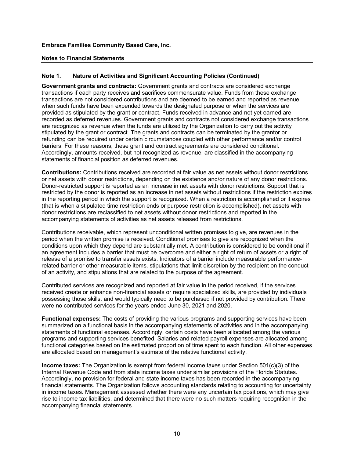#### **Notes to Financial Statements**

#### **Note 1. Nature of Activities and Significant Accounting Policies (Continued)**

**Government grants and contracts:** Government grants and contracts are considered exchange transactions if each party receives and sacrifices commensurate value. Funds from these exchange transactions are not considered contributions and are deemed to be earned and reported as revenue when such funds have been expended towards the designated purpose or when the services are provided as stipulated by the grant or contract. Funds received in advance and not yet earned are recorded as deferred revenues. Government grants and contracts not considered exchange transactions are recognized as revenue when the funds are utilized by the Organization to carry out the activity stipulated by the grant or contract. The grants and contracts can be terminated by the grantor or refunding can be required under certain circumstances coupled with other performance and/or control barriers. For these reasons, these grant and contract agreements are considered conditional. Accordingly, amounts received, but not recognized as revenue, are classified in the accompanying statements of financial position as deferred revenues.

**Contributions:** Contributions received are recorded at fair value as net assets without donor restrictions or net assets with donor restrictions, depending on the existence and/or nature of any donor restrictions. Donor-restricted support is reported as an increase in net assets with donor restrictions. Support that is restricted by the donor is reported as an increase in net assets without restrictions if the restriction expires in the reporting period in which the support is recognized. When a restriction is accomplished or it expires (that is when a stipulated time restriction ends or purpose restriction is accomplished), net assets with donor restrictions are reclassified to net assets without donor restrictions and reported in the accompanying statements of activities as net assets released from restrictions.

Contributions receivable, which represent unconditional written promises to give, are revenues in the period when the written promise is received. Conditional promises to give are recognized when the conditions upon which they depend are substantially met. A contribution is considered to be conditional if an agreement includes a barrier that must be overcome and either a right of return of assets or a right of release of a promise to transfer assets exists. Indicators of a barrier include measurable performancerelated barrier or other measurable items, stipulations that limit discretion by the recipient on the conduct of an activity, and stipulations that are related to the purpose of the agreement.

Contributed services are recognized and reported at fair value in the period received, if the services received create or enhance non-financial assets or require specialized skills, are provided by individuals possessing those skills, and would typically need to be purchased if not provided by contribution. There were no contributed services for the years ended June 30, 2021 and 2020.

**Functional expenses:** The costs of providing the various programs and supporting services have been summarized on a functional basis in the accompanying statements of activities and in the accompanying statements of functional expenses. Accordingly, certain costs have been allocated among the various programs and supporting services benefited. Salaries and related payroll expenses are allocated among functional categories based on the estimated proportion of time spent to each function. All other expenses are allocated based on management's estimate of the relative functional activity.

**Income taxes:** The Organization is exempt from federal income taxes under Section 501(c)(3) of the Internal Revenue Code and from state income taxes under similar provisions of the Florida Statutes. Accordingly, no provision for federal and state income taxes has been recorded in the accompanying financial statements. The Organization follows accounting standards relating to accounting for uncertainty in income taxes. Management assessed whether there were any uncertain tax positions, which may give rise to income tax liabilities, and determined that there were no such matters requiring recognition in the accompanying financial statements.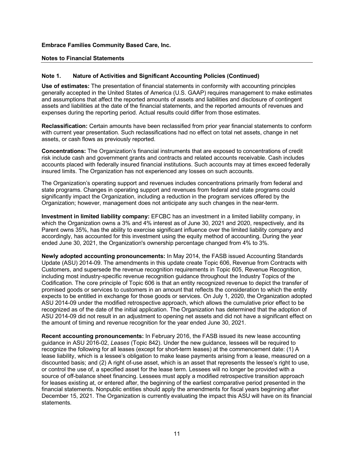#### **Notes to Financial Statements**

#### **Note 1. Nature of Activities and Significant Accounting Policies (Continued)**

**Use of estimates:** The presentation of financial statements in conformity with accounting principles generally accepted in the United States of America (U.S. GAAP) requires management to make estimates and assumptions that affect the reported amounts of assets and liabilities and disclosure of contingent assets and liabilities at the date of the financial statements, and the reported amounts of revenues and expenses during the reporting period. Actual results could differ from those estimates.

**Reclassification:** Certain amounts have been reclassified from prior year financial statements to conform with current year presentation. Such reclassifications had no effect on total net assets, change in net assets, or cash flows as previously reported.

**Concentrations:** The Organization's financial instruments that are exposed to concentrations of credit risk include cash and government grants and contracts and related accounts receivable. Cash includes accounts placed with federally insured financial institutions. Such accounts may at times exceed federally insured limits. The Organization has not experienced any losses on such accounts.

The Organization's operating support and revenues includes concentrations primarily from federal and state programs. Changes in operating support and revenues from federal and state programs could significantly impact the Organization, including a reduction in the program services offered by the Organization; however, management does not anticipate any such changes in the near-term.

**Investment in limited liability company:** EFCBC has an investment in a limited liability company, in which the Organization owns a 3% and 4% interest as of June 30, 2021 and 2020, respectively, and its Parent owns 35%, has the ability to exercise significant influence over the limited liability company and accordingly, has accounted for this investment using the equity method of accounting. During the year ended June 30, 2021, the Organization's ownership percentage changed from 4% to 3%.

**Newly adopted accounting pronouncements:** In May 2014, the FASB issued Accounting Standards Update (ASU) 2014-09. The amendments in this update create Topic 606, Revenue from Contracts with Customers, and supersede the revenue recognition requirements in Topic 605, Revenue Recognition, including most industry-specific revenue recognition guidance throughout the Industry Topics of the Codification. The core principle of Topic 606 is that an entity recognized revenue to depict the transfer of promised goods or services to customers in an amount that reflects the consideration to which the entity expects to be entitled in exchange for those goods or services. On July 1, 2020, the Organization adopted ASU 2014-09 under the modified retrospective approach, which allows the cumulative prior effect to be recognized as of the date of the initial application. The Organization has determined that the adoption of ASU 2014-09 did not result in an adjustment to opening net assets and did not have a significant effect on the amount of timing and revenue recognition for the year ended June 30, 2021.

**Recent accounting pronouncements:** In February 2016, the FASB issued its new lease accounting guidance in ASU 2016-02, *Leases* (Topic 842). Under the new guidance, lessees will be required to recognize the following for all leases (except for short-term leases) at the commencement date: (1) A lease liability, which is a lessee's obligation to make lease payments arising from a lease, measured on a discounted basis; and (2) A right of-use asset, which is an asset that represents the lessee's right to use, or control the use of, a specified asset for the lease term. Lessees will no longer be provided with a source of off-balance sheet financing. Lessees must apply a modified retrospective transition approach for leases existing at, or entered after, the beginning of the earliest comparative period presented in the financial statements. Nonpublic entities should apply the amendments for fiscal years beginning after December 15, 2021. The Organization is currently evaluating the impact this ASU will have on its financial statements.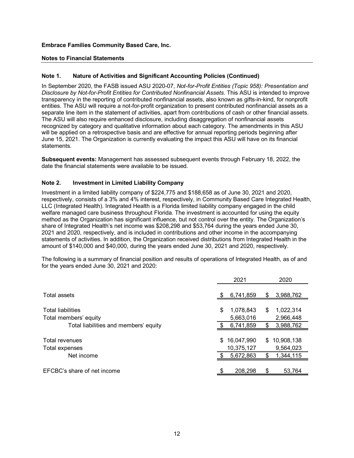#### **Notes to Financial Statements**

#### **Note 1. Nature of Activities and Significant Accounting Policies (Continued)**

In September 2020, the FASB issued ASU 2020-07, *Not-for-Profit Entities (Topic 958): Presentation and Disclosure by Not-for-Profit Entities for Contributed Nonfinancial Assets*. This ASU is intended to improve transparency in the reporting of contributed nonfinancial assets, also known as gifts-in-kind, for nonprofit entities. The ASU will require a not-for-profit organization to present contributed nonfinancial assets as a separate line item in the statement of activities, apart from contributions of cash or other financial assets. The ASU will also require enhanced disclosure, including disaggregation of nonfinancial assets recognized by category and qualitative information about each category. The amendments in this ASU will be applied on a retrospective basis and are effective for annual reporting periods beginning after June 15, 2021. The Organization is currently evaluating the impact this ASU will have on its financial statements.

**Subsequent events:** Management has assessed subsequent events through February 18, 2022, the date the financial statements were available to be issued.

#### **Note 2. Investment in Limited Liability Company**

Investment in a limited liability company of \$224,775 and \$188,658 as of June 30, 2021 and 2020, respectively, consists of a 3% and 4% interest, respectively, in Community Based Care Integrated Health, LLC (Integrated Health). Integrated Health is a Florida limited liability company engaged in the child welfare managed care business throughout Florida. The investment is accounted for using the equity method as the Organization has significant influence, but not control over the entity. The Organization's share of Integrated Health's net income was \$208,298 and \$53,764 during the years ended June 30, 2021 and 2020, respectively, and is included in contributions and other income in the accompanying statements of activities. In addition, the Organization received distributions from Integrated Health in the amount of \$140,000 and \$40,000, during the years ended June 30, 2021 and 2020, respectively.

The following is a summary of financial position and results of operations of Integrated Health, as of and for the years ended June 30, 2021 and 2020:

|                                                                |     | 2021                   |     | 2020                   |
|----------------------------------------------------------------|-----|------------------------|-----|------------------------|
| Total assets                                                   | S.  | 6,741,859              | \$  | 3,988,762              |
| <b>Total liabilities</b>                                       | \$  | 1,078,843              | \$  | 1,022,314              |
| Total members' equity<br>Total liabilities and members' equity |     | 5,663,016<br>6,741,859 | S   | 2,966,448<br>3,988,762 |
| Total revenues                                                 | \$. | 16,047,990             | \$. | 10,908,138             |
| Total expenses                                                 |     | 10,375,127             |     | 9,564,023              |
| Net income                                                     |     | 5,672,863              |     | 1,344,115              |
| EFCBC's share of net income                                    |     | 208,298                |     | 53.764                 |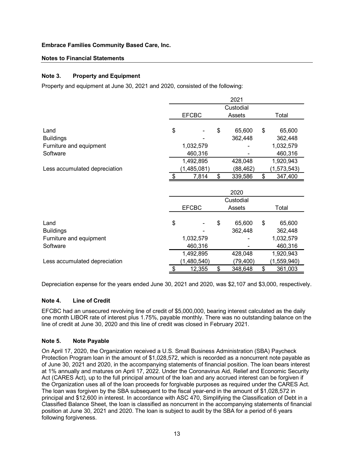#### **Notes to Financial Statements**

#### **Note 3. Property and Equipment**

Property and equipment at June 30, 2021 and 2020, consisted of the following:

|                               |           |              |    | 2021      |    |             |  |
|-------------------------------|-----------|--------------|----|-----------|----|-------------|--|
|                               | Custodial |              |    |           |    |             |  |
|                               |           | <b>EFCBC</b> |    | Assets    |    | Total       |  |
| Land                          | \$        |              | \$ | 65,600    | \$ | 65,600      |  |
| <b>Buildings</b>              |           |              |    | 362,448   |    | 362,448     |  |
| Furniture and equipment       |           | 1,032,579    |    |           |    | 1,032,579   |  |
| Software                      |           | 460,316      |    |           |    | 460,316     |  |
|                               |           | 1,492,895    |    | 428,048   |    | 1,920,943   |  |
| Less accumulated depreciation |           | (1,485,081)  |    | (88,462)  |    | (1,573,543) |  |
|                               | \$        | 7,814        | \$ | 339,586   | \$ | 347,400     |  |
|                               |           |              |    |           |    |             |  |
|                               |           |              |    | 2020      |    |             |  |
|                               |           |              |    | Custodial |    |             |  |
|                               |           | <b>EFCBC</b> |    | Assets    |    | Total       |  |
|                               |           |              |    |           |    |             |  |
| Land                          | \$        |              | \$ | 65,600    | \$ | 65,600      |  |
| <b>Buildings</b>              |           |              |    | 362,448   |    | 362,448     |  |
| Furniture and equipment       |           |              |    |           |    |             |  |
|                               |           | 1,032,579    |    |           |    | 1,032,579   |  |
| Software                      |           | 460,316      |    |           |    | 460,316     |  |
|                               |           | 1,492,895    |    | 428,048   |    | 1,920,943   |  |
| Less accumulated depreciation |           | (1,480,540)  |    | (79,400)  |    | (1,559,940) |  |

Depreciation expense for the years ended June 30, 2021 and 2020, was \$2,107 and \$3,000, respectively.

## **Note 4. Line of Credit**

EFCBC had an unsecured revolving line of credit of \$5,000,000, bearing interest calculated as the daily one month LIBOR rate of interest plus 1.75%, payable monthly. There was no outstanding balance on the line of credit at June 30, 2020 and this line of credit was closed in February 2021.

## **Note 5. Note Payable**

On April 17, 2020, the Organization received a U.S. Small Business Administration (SBA) Paycheck Protection Program loan in the amount of \$1,028,572, which is recorded as a noncurrent note payable as of June 30, 2021 and 2020, in the accompanying statements of financial position. The loan bears interest at 1% annually and matures on April 17, 2022. Under the Coronavirus Aid, Relief and Economic Security Act (CARES Act), up to the full principal amount of the loan and any accrued interest can be forgiven if the Organization uses all of the loan proceeds for forgivable purposes as required under the CARES Act. The loan was forgiven by the SBA subsequent to the fiscal year-end in the amount of \$1,028,572 in principal and \$12,600 in interest. In accordance with ASC 470, Simplifying the Classification of Debt in a Classified Balance Sheet, the loan is classified as noncurrent in the accompanying statements of financial position at June 30, 2021 and 2020. The loan is subject to audit by the SBA for a period of 6 years following forgiveness.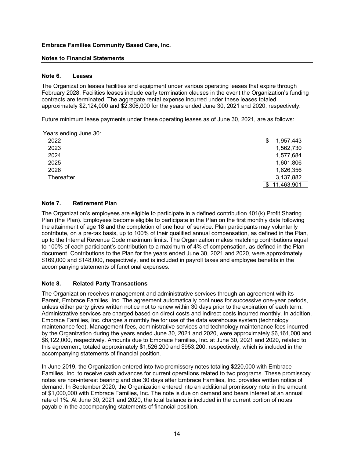## **Notes to Financial Statements**

#### **Note 6. Leases**

The Organization leases facilities and equipment under various operating leases that expire through February 2028. Facilities leases include early termination clauses in the event the Organization's funding contracts are terminated. The aggregate rental expense incurred under these leases totaled approximately \$2,124,000 and \$2,306,000 for the years ended June 30, 2021 and 2020, respectively.

Future minimum lease payments under these operating leases as of June 30, 2021, are as follows:

| Years ending June 30: |                |  |
|-----------------------|----------------|--|
| 2022                  | 1,957,443<br>S |  |
| 2023                  | 1,562,730      |  |
| 2024                  | 1,577,684      |  |
| 2025                  | 1,601,806      |  |
| 2026                  | 1,626,356      |  |
| Thereafter            | 3,137,882      |  |
|                       | 11,463,901     |  |

## **Note 7. Retirement Plan**

The Organization's employees are eligible to participate in a defined contribution 401(k) Profit Sharing Plan (the Plan). Employees become eligible to participate in the Plan on the first monthly date following the attainment of age 18 and the completion of one hour of service. Plan participants may voluntarily contribute, on a pre-tax basis, up to 100% of their qualified annual compensation, as defined in the Plan, up to the Internal Revenue Code maximum limits. The Organization makes matching contributions equal to 100% of each participant's contribution to a maximum of 4% of compensation, as defined in the Plan document. Contributions to the Plan for the years ended June 30, 2021 and 2020, were approximately \$169,000 and \$148,000, respectively, and is included in payroll taxes and employee benefits in the accompanying statements of functional expenses.

## **Note 8. Related Party Transactions**

The Organization receives management and administrative services through an agreement with its Parent, Embrace Families, Inc. The agreement automatically continues for successive one-year periods, unless either party gives written notice not to renew within 30 days prior to the expiration of each term. Administrative services are charged based on direct costs and indirect costs incurred monthly. In addition, Embrace Families, Inc. charges a monthly fee for use of the data warehouse system (technology maintenance fee). Management fees, administrative services and technology maintenance fees incurred by the Organization during the years ended June 30, 2021 and 2020, were approximately \$6,161,000 and \$6,122,000, respectively. Amounts due to Embrace Families, Inc. at June 30, 2021 and 2020, related to this agreement, totaled approximately \$1,526,200 and \$953,200, respectively, which is included in the accompanying statements of financial position.

In June 2019, the Organization entered into two promissory notes totaling \$220,000 with Embrace Families, Inc. to receive cash advances for current operations related to two programs. These promissory notes are non-interest bearing and due 30 days after Embrace Families, Inc. provides written notice of demand. In September 2020, the Organization entered into an additional promissory note in the amount of \$1,000,000 with Embrace Families, Inc. The note is due on demand and bears interest at an annual rate of 1%. At June 30, 2021 and 2020, the total balance is included in the current portion of notes payable in the accompanying statements of financial position.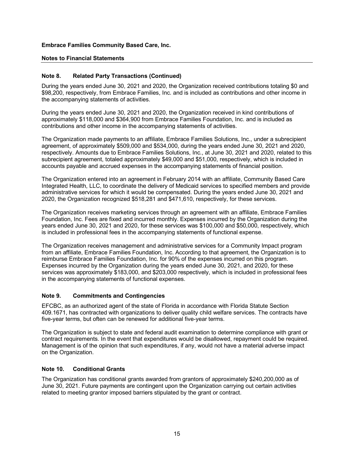#### **Notes to Financial Statements**

#### **Note 8. Related Party Transactions (Continued)**

During the years ended June 30, 2021 and 2020, the Organization received contributions totaling \$0 and \$98,200, respectively, from Embrace Families, Inc. and is included as contributions and other income in the accompanying statements of activities.

During the years ended June 30, 2021 and 2020, the Organization received in kind contributions of approximately \$118,000 and \$364,900 from Embrace Families Foundation, Inc. and is included as contributions and other income in the accompanying statements of activities.

The Organization made payments to an affiliate, Embrace Families Solutions, Inc., under a subrecipient agreement, of approximately \$509,000 and \$534,000, during the years ended June 30, 2021 and 2020, respectively. Amounts due to Embrace Families Solutions, Inc., at June 30, 2021 and 2020, related to this subrecipient agreement, totaled approximately \$49,000 and \$51,000, respectively, which is included in accounts payable and accrued expenses in the accompanying statements of financial position.

The Organization entered into an agreement in February 2014 with an affiliate, Community Based Care Integrated Health, LLC, to coordinate the delivery of Medicaid services to specified members and provide administrative services for which it would be compensated. During the years ended June 30, 2021 and 2020, the Organization recognized \$518,281 and \$471,610, respectively, for these services.

The Organization receives marketing services through an agreement with an affiliate, Embrace Families Foundation, Inc. Fees are fixed and incurred monthly. Expenses incurred by the Organization during the years ended June 30, 2021 and 2020, for these services was \$100,000 and \$50,000, respectively, which is included in professional fees in the accompanying statements of functional expense.

The Organization receives management and administrative services for a Community Impact program from an affiliate, Embrace Families Foundation, Inc. According to that agreement, the Organization is to reimburse Embrace Families Foundation, Inc. for 90% of the expenses incurred on this program. Expenses incurred by the Organization during the years ended June 30, 2021, and 2020, for these services was approximately \$183,000, and \$203,000 respectively, which is included in professional fees in the accompanying statements of functional expenses.

#### **Note 9. Commitments and Contingencies**

EFCBC, as an authorized agent of the state of Florida in accordance with Florida Statute Section 409.1671, has contracted with organizations to deliver quality child welfare services. The contracts have five-year terms, but often can be renewed for additional five-year terms.

The Organization is subject to state and federal audit examination to determine compliance with grant or contract requirements. In the event that expenditures would be disallowed, repayment could be required. Management is of the opinion that such expenditures, if any, would not have a material adverse impact on the Organization.

## **Note 10. Conditional Grants**

The Organization has conditional grants awarded from grantors of approximately \$240,200,000 as of June 30, 2021. Future payments are contingent upon the Organization carrying out certain activities related to meeting grantor imposed barriers stipulated by the grant or contract.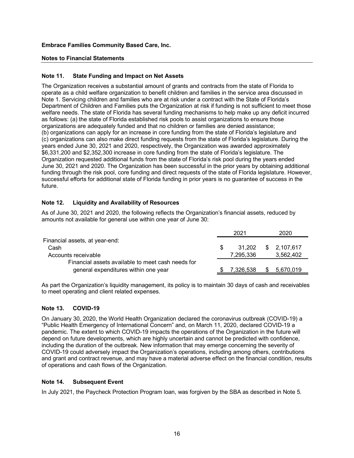#### **Notes to Financial Statements**

#### **Note 11. State Funding and Impact on Net Assets**

The Organization receives a substantial amount of grants and contracts from the state of Florida to operate as a child welfare organization to benefit children and families in the service area discussed in Note 1. Servicing children and families who are at risk under a contract with the State of Florida's Department of Children and Families puts the Organization at risk if funding is not sufficient to meet those welfare needs. The state of Florida has several funding mechanisms to help make up any deficit incurred as follows: (a) the state of Florida established risk pools to assist organizations to ensure those organizations are adequately funded and that no children or families are denied assistance; (b) organizations can apply for an increase in core funding from the state of Florida's legislature and (c) organizations can also make direct funding requests from the state of Florida's legislature. During the years ended June 30, 2021 and 2020, respectively, the Organization was awarded approximately \$6,331,200 and \$2,352,300 increase in core funding from the state of Florida's legislature. The Organization requested additional funds from the state of Florida's risk pool during the years ended June 30, 2021 and 2020. The Organization has been successful in the prior years by obtaining additional funding through the risk pool, core funding and direct requests of the state of Florida legislature. However, successful efforts for additional state of Florida funding in prior years is no guarantee of success in the future.

## **Note 12. Liquidity and Availability of Resources**

As of June 30, 2021 and 2020, the following reflects the Organization's financial assets, reduced by amounts not available for general use within one year of June 30:

|                                                   |     | 2021      | 2020        |
|---------------------------------------------------|-----|-----------|-------------|
| Financial assets, at year-end:                    |     |           |             |
| Cash                                              | \$. | 31.202    | \$2,107,617 |
| Accounts receivable                               |     | 7.295.336 | 3,562,402   |
| Financial assets available to meet cash needs for |     |           |             |
| general expenditures within one year              |     | 7.326.538 | 5,670,019   |

As part the Organization's liquidity management, its policy is to maintain 30 days of cash and receivables to meet operating and client related expenses.

## **Note 13. COVID-19**

On January 30, 2020, the World Health Organization declared the coronavirus outbreak (COVID-19) a "Public Health Emergency of International Concern" and, on March 11, 2020, declared COVID-19 a pandemic. The extent to which COVID-19 impacts the operations of the Organization in the future will depend on future developments, which are highly uncertain and cannot be predicted with confidence, including the duration of the outbreak. New information that may emerge concerning the severity of COVID-19 could adversely impact the Organization's operations, including among others, contributions and grant and contract revenue, and may have a material adverse effect on the financial condition, results of operations and cash flows of the Organization.

#### **Note 14. Subsequent Event**

In July 2021, the Paycheck Protection Program loan, was forgiven by the SBA as described in Note 5.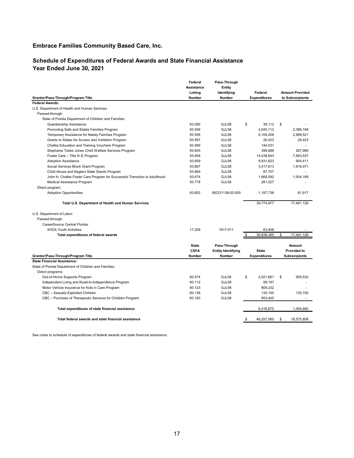# **Schedule of Expenditures of Federal Awards and State Financial Assistance Year Ended June 30, 2021**

| Grantor/Pass-Through/Program Title                                        | Federal<br><b>Assistance</b><br>Listing<br>Number | Pass-Through<br>Entity<br>Identifying<br>Number            | Federal<br><b>Expenditures</b>      | <b>Amount Provided</b><br>to Subrecipients           |
|---------------------------------------------------------------------------|---------------------------------------------------|------------------------------------------------------------|-------------------------------------|------------------------------------------------------|
| <b>Federal Awards:</b>                                                    |                                                   |                                                            |                                     |                                                      |
| U.S. Department of Health and Human Services:                             |                                                   |                                                            |                                     |                                                      |
| Passed-through:                                                           |                                                   |                                                            |                                     |                                                      |
| State of Florida Department of Children and Families:                     |                                                   |                                                            |                                     |                                                      |
| Guardianship Assistance                                                   | 93.090                                            | GJL58                                                      | \$<br>38,112                        | \$                                                   |
| Promoting Safe and Stable Families Program                                | 93.556                                            | GJL58                                                      | 3,045,112                           | 2,386,168                                            |
| Temporary Assistance for Needy Families Program                           | 93.558                                            | GJL58                                                      | 5,109,208                           | 2,999,521                                            |
| Grants to States for Access and Visitation Program                        | 93.597                                            | GJL58                                                      | 26,423                              | 26,423                                               |
| Chafee Education and Training Vouchers Program                            | 93.599                                            | GJL58                                                      | 144,031                             | ٠                                                    |
| Stephanie Tubbs Jones Child Welfare Services Program                      | 93.645                                            | GJL58                                                      | 398,898                             | 267,989                                              |
| Foster Care - Title IV-E Program                                          | 93.658                                            | GJL58                                                      | 14,438,643                          | 7,993,537                                            |
| <b>Adoption Assistance</b>                                                | 93.659                                            | GJL58                                                      | 9,931,623                           | 904,411                                              |
| Social Services Block Grant Program                                       | 93.667                                            | GJL58                                                      | 3,417,813                           | 1,816,971                                            |
| Child Abuse and Neglect State Grants Program                              | 93.669                                            | GJL58                                                      | 87,757                              | ×.                                                   |
| John H. Chafee Foster Care Program for Successful Transition to Adulthood | 93.674                                            | GJL58                                                      | 1,668,592                           | 1,004,189                                            |
| Medical Assistance Program                                                | 93.778                                            | GJL58                                                      | 281,027                             |                                                      |
| Direct program:                                                           |                                                   |                                                            |                                     |                                                      |
| <b>Adoption Opportunities</b>                                             | 93.652                                            | 90CO1138-02-000                                            | 1,187,738                           | 81,917                                               |
| Total U.S. Department of Health and Human Services                        |                                                   |                                                            | 39,774,977                          | 17,481,126                                           |
| U.S. Department of Labor:                                                 |                                                   |                                                            |                                     |                                                      |
| Passed-through:                                                           |                                                   |                                                            |                                     |                                                      |
| CareerSource Central Florida:                                             |                                                   |                                                            |                                     |                                                      |
| <b>WIOA Youth Activities</b>                                              | 17.259                                            | 1617-011                                                   | 63,408                              |                                                      |
| Total expenditures of federal awards                                      |                                                   |                                                            | \$<br>39,838,385                    | \$<br>17,481,126                                     |
| Grantor/Pass-Through/Program Title                                        | <b>State</b><br><b>CSFA</b><br>Number             | Pass-Through<br><b>Entity Identifying</b><br><b>Number</b> | <b>State</b><br><b>Expenditures</b> | Amount<br><b>Provided to</b><br><b>Subrecipients</b> |
| <b>State Financial Assistance:</b>                                        |                                                   |                                                            |                                     |                                                      |
| State of Florida Department of Children and Families:                     |                                                   |                                                            |                                     |                                                      |
| Direct programs:                                                          |                                                   |                                                            |                                     |                                                      |
| Out-of-Home Supports Program                                              | 60.074                                            | GJL58                                                      | \$<br>4,521,661                     | \$<br>959.532                                        |
| Independent Living and Road-to-Independence Program                       | 60.112                                            | GJL58                                                      | 99,187                              |                                                      |
| Motor Vehicle Insurance for Kids in Care Program                          | 60.123                                            | GJL58                                                      | 809,232                             |                                                      |
| CBC - Sexually Exploited Children                                         | 60.138                                            | GJL58                                                      | 135,150                             | 135,150                                              |
|                                                                           | 60.183                                            | GJL58                                                      |                                     |                                                      |
| CBC - Purchase of Therapeutic Services for Children Program               |                                                   |                                                            | 853,445                             |                                                      |
| Total expenditures of state financial assistance                          |                                                   |                                                            | 6,418,675                           | 1,094,682                                            |
| Total federal awards and state financial assistance                       |                                                   |                                                            | 46,257,060                          | \$<br>18,575,808                                     |

See notes to schedule of expenditures of federal awards and state financial assistance.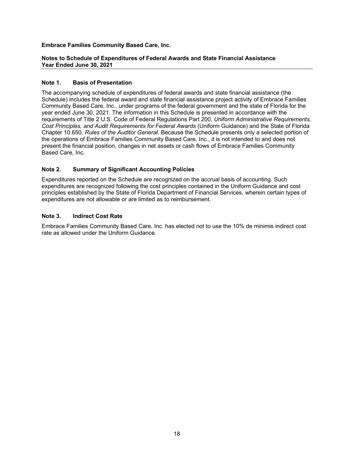#### **Notes to Schedule of Expenditures of Federal Awards and State Financial Assistance Year Ended June 30, 2021**

#### **Note 1. Basis of Presentation**

The accompanying schedule of expenditures of federal awards and state financial assistance (the Schedule) includes the federal award and state financial assistance project activity of Embrace Families Community Based Care, Inc., under programs of the federal government and the state of Florida for the year ended June 30, 2021. The information in this Schedule is presented in accordance with the requirements of Title 2 U.S. Code of Federal Regulations Part 200, *Uniform Administrative Requirements, Cost Principles, and Audit Requirements for Federal Awards* (Uniform Guidance) and the State of Florida Chapter 10.650, *Rules of the Auditor General*. Because the Schedule presents only a selected portion of the operations of Embrace Families Community Based Care, Inc., it is not intended to and does not present the financial position, changes in net assets or cash flows of Embrace Families Community Based Care, Inc.

#### **Note 2. Summary of Significant Accounting Policies**

Expenditures reported on the Schedule are recognized on the accrual basis of accounting. Such expenditures are recognized following the cost principles contained in the Uniform Guidance and cost principles established by the State of Florida Department of Financial Services, wherein certain types of expenditures are not allowable or are limited as to reimbursement.

## **Note 3. Indirect Cost Rate**

Embrace Families Community Based Care, Inc. has elected not to use the 10% de minimis indirect cost rate as allowed under the Uniform Guidance.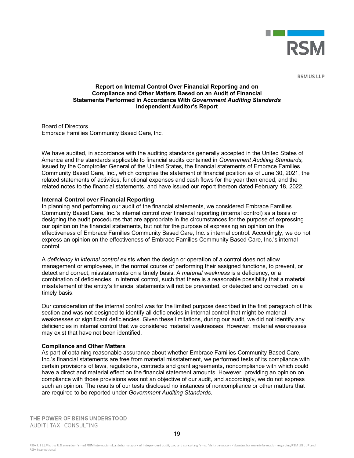

**RSM US LLP** 

#### **Report on Internal Control Over Financial Reporting and on Compliance and Other Matters Based on an Audit of Financial Statements Performed in Accordance With** *Government Auditing Standards* **Independent Auditor's Report**

Board of Directors Embrace Families Community Based Care, Inc.

We have audited, in accordance with the auditing standards generally accepted in the United States of America and the standards applicable to financial audits contained in *Government Auditing Standards,*  issued by the Comptroller General of the United States, the financial statements of Embrace Families Community Based Care, Inc., which comprise the statement of financial position as of June 30, 2021, the related statements of activities, functional expenses and cash flows for the year then ended, and the related notes to the financial statements, and have issued our report thereon dated February 18, 2022.

#### **Internal Control over Financial Reporting**

In planning and performing our audit of the financial statements, we considered Embrace Families Community Based Care, Inc.'s internal control over financial reporting (internal control) as a basis or designing the audit procedures that are appropriate in the circumstances for the purpose of expressing our opinion on the financial statements, but not for the purpose of expressing an opinion on the effectiveness of Embrace Families Community Based Care, Inc.'s internal control. Accordingly, we do not express an opinion on the effectiveness of Embrace Families Community Based Care, Inc.'s internal control.

A *deficiency in internal control* exists when the design or operation of a control does not allow management or employees, in the normal course of performing their assigned functions, to prevent, or detect and correct, misstatements on a timely basis. A *material weakness* is a deficiency, or a combination of deficiencies, in internal control, such that there is a reasonable possibility that a material misstatement of the entity's financial statements will not be prevented, or detected and corrected, on a timely basis.

Our consideration of the internal control was for the limited purpose described in the first paragraph of this section and was not designed to identify all deficiencies in internal control that might be material weaknesses or significant deficiencies. Given these limitations, during our audit, we did not identify any deficiencies in internal control that we considered material weaknesses. However, material weaknesses may exist that have not been identified.

#### **Compliance and Other Matters**

As part of obtaining reasonable assurance about whether Embrace Families Community Based Care, Inc.'s financial statements are free from material misstatement, we performed tests of its compliance with certain provisions of laws, regulations, contracts and grant agreements, noncompliance with which could have a direct and material effect on the financial statement amounts. However, providing an opinion on compliance with those provisions was not an objective of our audit, and accordingly, we do not express such an opinion. The results of our tests disclosed no instances of noncompliance or other matters that are required to be reported under *Government Auditing Standards*.

THE POWER OF BEING UNDERSTOOD AUDIT | TAX | CONSULTING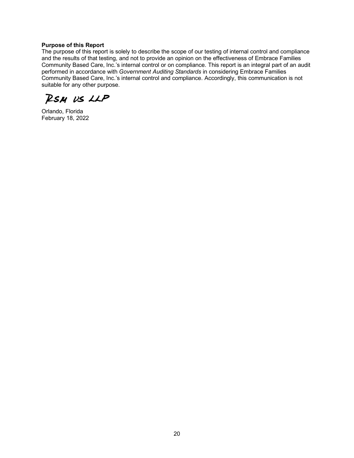#### **Purpose of this Report**

The purpose of this report is solely to describe the scope of our testing of internal control and compliance and the results of that testing, and not to provide an opinion on the effectiveness of Embrace Families Community Based Care, Inc.'s internal control or on compliance. This report is an integral part of an audit performed in accordance with *Government Auditing Standards* in considering Embrace Families Community Based Care, Inc.'s internal control and compliance. Accordingly, this communication is not suitable for any other purpose.

RSM US LLP

Orlando, Florida February 18, 2022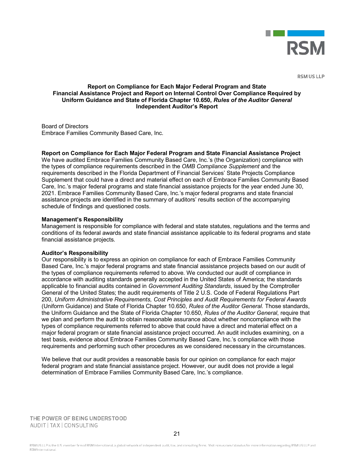

**RSM US LLP** 

#### **Report on Compliance for Each Major Federal Program and State Financial Assistance Project and Report on Internal Control Over Compliance Required by Uniform Guidance and State of Florida Chapter 10.650,** *Rules of the Auditor General* **Independent Auditor's Report**

Board of Directors Embrace Families Community Based Care, Inc.

#### **Report on Compliance for Each Major Federal Program and State Financial Assistance Project**

We have audited Embrace Families Community Based Care, Inc.'s (the Organization) compliance with the types of compliance requirements described in the *OMB Compliance Supplement* and the requirements described in the Florida Department of Financial Services' State Projects Compliance Supplement that could have a direct and material effect on each of Embrace Families Community Based Care, Inc.'s major federal programs and state financial assistance projects for the year ended June 30, 2021. Embrace Families Community Based Care, Inc.'s major federal programs and state financial assistance projects are identified in the summary of auditors' results section of the accompanying schedule of findings and questioned costs.

#### **Management's Responsibility**

Management is responsible for compliance with federal and state statutes, regulations and the terms and conditions of its federal awards and state financial assistance applicable to its federal programs and state financial assistance projects.

#### **Auditor's Responsibility**

Our responsibility is to express an opinion on compliance for each of Embrace Families Community Based Care, Inc.'s major federal programs and state financial assistance projects based on our audit of the types of compliance requirements referred to above. We conducted our audit of compliance in accordance with auditing standards generally accepted in the United States of America; the standards applicable to financial audits contained in *Government Auditing Standards*, issued by the Comptroller General of the United States; the audit requirements of Title 2 U.S. Code of Federal Regulations Part 200, *Uniform Administrative Requirements, Cost Principles and Audit Requirements for Federal Awards*  (Uniform Guidance) and State of Florida Chapter 10.650, *Rules of the Auditor General*. Those standards, the Uniform Guidance and the State of Florida Chapter 10.650, *Rules of the Auditor General*, require that we plan and perform the audit to obtain reasonable assurance about whether noncompliance with the types of compliance requirements referred to above that could have a direct and material effect on a major federal program or state financial assistance project occurred. An audit includes examining, on a test basis, evidence about Embrace Families Community Based Care, Inc.'s compliance with those requirements and performing such other procedures as we considered necessary in the circumstances.

We believe that our audit provides a reasonable basis for our opinion on compliance for each major federal program and state financial assistance project. However, our audit does not provide a legal determination of Embrace Families Community Based Care, Inc.'s compliance.

THE POWER OF BEING UNDERSTOOD AUDIT | TAX | CONSULTING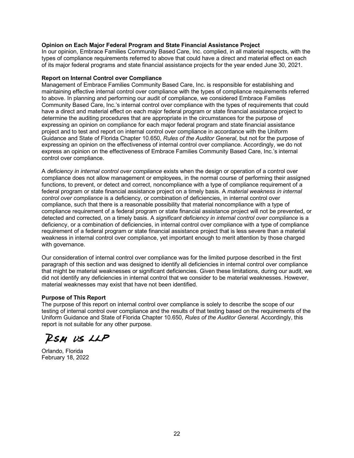#### **Opinion on Each Major Federal Program and State Financial Assistance Project**

In our opinion, Embrace Families Community Based Care, Inc. complied, in all material respects, with the types of compliance requirements referred to above that could have a direct and material effect on each of its major federal programs and state financial assistance projects for the year ended June 30, 2021.

#### **Report on Internal Control over Compliance**

Management of Embrace Families Community Based Care, Inc. is responsible for establishing and maintaining effective internal control over compliance with the types of compliance requirements referred to above. In planning and performing our audit of compliance, we considered Embrace Families Community Based Care, Inc.'s internal control over compliance with the types of requirements that could have a direct and material effect on each major federal program or state financial assistance project to determine the auditing procedures that are appropriate in the circumstances for the purpose of expressing an opinion on compliance for each major federal program and state financial assistance project and to test and report on internal control over compliance in accordance with the Uniform Guidance and State of Florida Chapter 10.650, *Rules of the Auditor General*, but not for the purpose of expressing an opinion on the effectiveness of internal control over compliance. Accordingly, we do not express an opinion on the effectiveness of Embrace Families Community Based Care, Inc.'s internal control over compliance.

A *deficiency in internal control over compliance* exists when the design or operation of a control over compliance does not allow management or employees, in the normal course of performing their assigned functions, to prevent, or detect and correct, noncompliance with a type of compliance requirement of a federal program or state financial assistance project on a timely basis. A *material weakness in internal control over compliance* is a deficiency, or combination of deficiencies, in internal control over compliance, such that there is a reasonable possibility that material noncompliance with a type of compliance requirement of a federal program or state financial assistance project will not be prevented, or detected and corrected, on a timely basis. A *significant deficiency in internal control over compliance* is a deficiency, or a combination of deficiencies, in internal control over compliance with a type of compliance requirement of a federal program or state financial assistance project that is less severe than a material weakness in internal control over compliance, yet important enough to merit attention by those charged with governance.

Our consideration of internal control over compliance was for the limited purpose described in the first paragraph of this section and was designed to identify all deficiencies in internal control over compliance that might be material weaknesses or significant deficiencies. Given these limitations, during our audit, we did not identify any deficiencies in internal control that we consider to be material weaknesses. However, material weaknesses may exist that have not been identified.

## **Purpose of This Report**

The purpose of this report on internal control over compliance is solely to describe the scope of our testing of internal control over compliance and the results of that testing based on the requirements of the Uniform Guidance and State of Florida Chapter 10.650, *Rules of the Auditor General*. Accordingly, this report is not suitable for any other purpose.

**RSM US LLP** 

Orlando, Florida February 18, 2022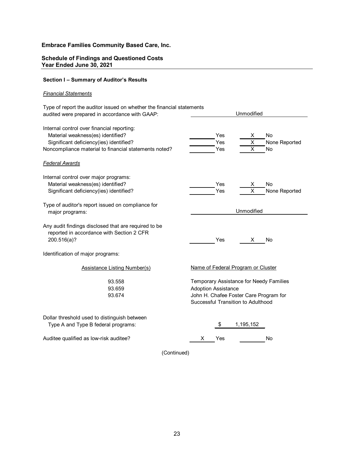#### **Schedule of Findings and Questioned Costs Year Ended June 30, 2021**

# **Section I – Summary of Auditor's Results**

#### *Financial Statements*

| Type of report the auditor issued on whether the financial statements<br>audited were prepared in accordance with GAAP:                                                             | Unmodified                                                                                                                                            |
|-------------------------------------------------------------------------------------------------------------------------------------------------------------------------------------|-------------------------------------------------------------------------------------------------------------------------------------------------------|
| Internal control over financial reporting:<br>Material weakness(es) identified?<br>Significant deficiency(ies) identified?<br>Noncompliance material to financial statements noted? | Yes<br>No<br>X<br>Yes<br>None Reported<br>X<br>X<br>Yes<br>No                                                                                         |
| <b>Federal Awards</b>                                                                                                                                                               |                                                                                                                                                       |
| Internal control over major programs:<br>Material weakness(es) identified?<br>Significant deficiency(ies) identified?                                                               | Yes<br>No<br>х<br>X<br>Yes<br>None Reported                                                                                                           |
| Type of auditor's report issued on compliance for<br>major programs:                                                                                                                | Unmodified                                                                                                                                            |
| Any audit findings disclosed that are required to be<br>reported in accordance with Section 2 CFR<br>200.516(a)?                                                                    | Yes<br>X<br>No                                                                                                                                        |
| Identification of major programs:                                                                                                                                                   |                                                                                                                                                       |
| <b>Assistance Listing Number(s)</b>                                                                                                                                                 | Name of Federal Program or Cluster                                                                                                                    |
| 93.558<br>93.659<br>93.674                                                                                                                                                          | Temporary Assistance for Needy Families<br><b>Adoption Assistance</b><br>John H. Chafee Foster Care Program for<br>Successful Transition to Adulthood |
| Dollar threshold used to distinguish between<br>Type A and Type B federal programs:                                                                                                 | \$<br>1,195,152                                                                                                                                       |
| Auditee qualified as low-risk auditee?                                                                                                                                              | No<br>Yes<br>х                                                                                                                                        |
| (Continued)                                                                                                                                                                         |                                                                                                                                                       |